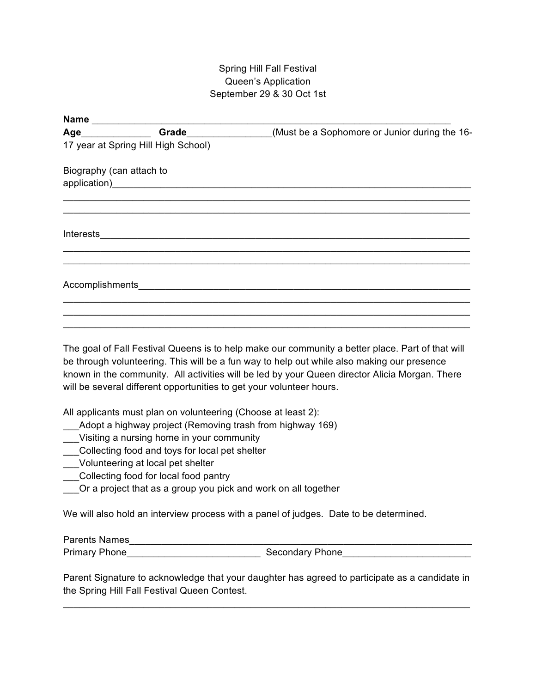## Spring Hill Fall Festival Queen's Application September 29 & 30 Oct 1st

| Age______________        | Grade_______________                | (Must be a Sophomore or Junior during the 16-                                                                                                                                                                                        |
|--------------------------|-------------------------------------|--------------------------------------------------------------------------------------------------------------------------------------------------------------------------------------------------------------------------------------|
|                          | 17 year at Spring Hill High School) |                                                                                                                                                                                                                                      |
| Biography (can attach to |                                     |                                                                                                                                                                                                                                      |
|                          |                                     |                                                                                                                                                                                                                                      |
|                          |                                     | Interests <u>and a series of the series of the series of the series of the series of the series of the series of the series of the series of the series of the series of the series of the series of the series of the series of</u> |
|                          |                                     | Accomplishments <b>Accomplishments</b>                                                                                                                                                                                               |
|                          |                                     |                                                                                                                                                                                                                                      |
|                          |                                     |                                                                                                                                                                                                                                      |

The goal of Fall Festival Queens is to help make our community a better place. Part of that will be through volunteering. This will be a fun way to help out while also making our presence known in the community. All activities will be led by your Queen director Alicia Morgan. There will be several different opportunities to get your volunteer hours.

All applicants must plan on volunteering (Choose at least 2):

- \_\_\_Adopt a highway project (Removing trash from highway 169)
- \_\_\_Visiting a nursing home in your community
- \_\_\_Collecting food and toys for local pet shelter
- \_\_\_Volunteering at local pet shelter
- \_\_\_Collecting food for local food pantry
- \_\_\_Or a project that as a group you pick and work on all together

We will also hold an interview process with a panel of judges. Date to be determined.

Parents Names Primary Phone\_\_\_\_\_\_\_\_\_\_\_\_\_\_\_\_\_\_\_\_\_\_\_\_\_ Secondary Phone\_\_\_\_\_\_\_\_\_\_\_\_\_\_\_\_\_\_\_\_\_\_\_\_

Parent Signature to acknowledge that your daughter has agreed to participate as a candidate in the Spring Hill Fall Festival Queen Contest.

\_\_\_\_\_\_\_\_\_\_\_\_\_\_\_\_\_\_\_\_\_\_\_\_\_\_\_\_\_\_\_\_\_\_\_\_\_\_\_\_\_\_\_\_\_\_\_\_\_\_\_\_\_\_\_\_\_\_\_\_\_\_\_\_\_\_\_\_\_\_\_\_\_\_\_\_